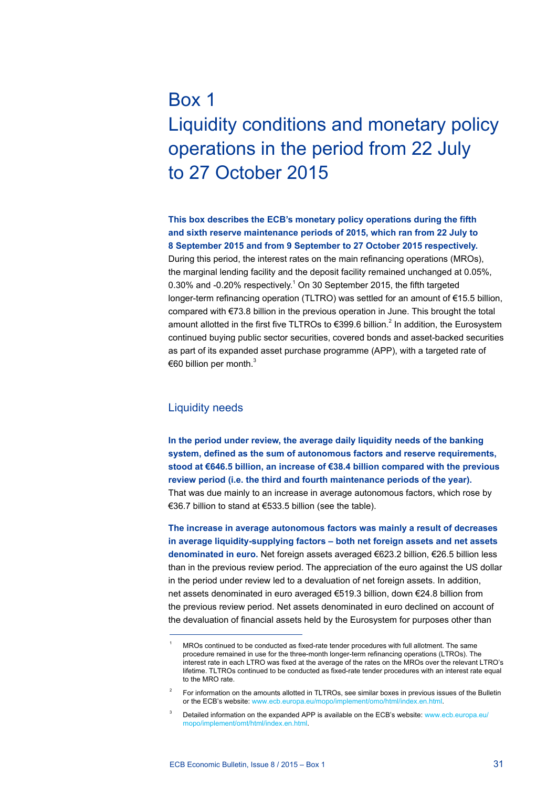# Box 1 Liquidity conditions and monetary policy operations in the period from 22 July to 27 October 2015

**This box describes the ECB's monetary policy operations during the fifth and sixth reserve maintenance periods of 2015, which ran from 22 July to 8 September 2015 and from 9 September to 27 October 2015 respectively.**  During this period, the interest rates on the main refinancing operations (MROs), the marginal lending facility and the deposit facility remained unchanged at 0.05%, 0.30% and  $-0.20%$  respectively.<sup>1</sup> On 30 September 2015, the fifth targeted longer-term refinancing operation (TLTRO) was settled for an amount of €15.5 billion, compared with €73.8 billion in the previous operation in June. This brought the total amount allotted in the first five TLTROs to  $\epsilon$ 399.6 billion.<sup>2</sup> In addition, the Eurosystem continued buying public sector securities, covered bonds and asset-backed securities as part of its expanded asset purchase programme (APP), with a targeted rate of €60 billion per month. $3$ 

# Liquidity needs

**In the period under review, the average daily liquidity needs of the banking system, defined as the sum of autonomous factors and reserve requirements, stood at €646.5 billion, an increase of €38.4 billion compared with the previous review period (i.e. the third and fourth maintenance periods of the year).** That was due mainly to an increase in average autonomous factors, which rose by €36.7 billion to stand at €533.5 billion (see the table).

**The increase in average autonomous factors was mainly a result of decreases in average liquidity-supplying factors – both net foreign assets and net assets denominated in euro.** Net foreign assets averaged €623.2 billion, €26.5 billion less than in the previous review period. The appreciation of the euro against the US dollar in the period under review led to a devaluation of net foreign assets. In addition, net assets denominated in euro averaged €519.3 billion, down €24.8 billion from the previous review period. Net assets denominated in euro declined on account of the devaluation of financial assets held by the Eurosystem for purposes other than

MROs continued to be conducted as fixed-rate tender procedures with full allotment. The same procedure remained in use for the three-month longer-term refinancing operations (LTROs). The interest rate in each LTRO was fixed at the average of the rates on the MROs over the relevant LTRO's lifetime. TLTROs continued to be conducted as fixed-rate tender procedures with an interest rate equal to the MRO rate.

<sup>2</sup> For information on the amounts allotted in TLTROs, see similar boxes in previous issues of the Bulletin or the ECB's website: [www.ecb.europa.eu/mopo/implement/omo/html/index.en.html.](http://www.ecb.europa.eu/mopo/implement/omo/html/index.en.html)

Detailed information on the expanded APP is available on the ECB's website: [www.ecb.europa.eu/](www.ecb.europa.eu/mopo/implement/omt/html/index.en.html) [mopo/implement/omt/html/index.en.html.](www.ecb.europa.eu/mopo/implement/omt/html/index.en.html)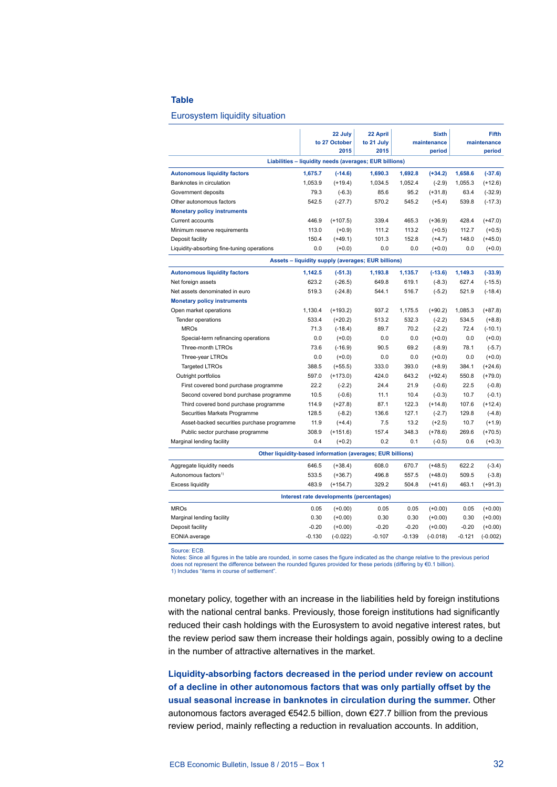### **Table**

#### Eurosystem liquidity situation

|                                                            | 22 July<br>to 27 October<br>2015 |            | 22 April<br>to 21 July<br>2015 | <b>Sixth</b><br>maintenance<br>period |            | <b>Fifth</b><br>maintenance<br>period |            |
|------------------------------------------------------------|----------------------------------|------------|--------------------------------|---------------------------------------|------------|---------------------------------------|------------|
| Liabilities - liquidity needs (averages; EUR billions)     |                                  |            |                                |                                       |            |                                       |            |
| <b>Autonomous liquidity factors</b>                        | 1,675.7                          | $(-14.6)$  | 1,690.3                        | 1,692.8                               | $(+34.2)$  | 1,658.6                               | $(-37.6)$  |
| Banknotes in circulation                                   | 1,053.9                          | $(+19.4)$  | 1,034.5                        | 1,052.4                               | $(-2.9)$   | 1,055.3                               | $(+12.6)$  |
| Government deposits                                        | 79.3                             | $(-6.3)$   | 85.6                           | 95.2                                  | $(+31.8)$  | 63.4                                  | $(-32.9)$  |
| Other autonomous factors                                   | 542.5                            | $(-27.7)$  | 570.2                          | 545.2                                 | $(+5.4)$   | 539.8                                 | $(-17.3)$  |
| <b>Monetary policy instruments</b>                         |                                  |            |                                |                                       |            |                                       |            |
| Current accounts                                           | 446.9                            | $(+107.5)$ | 339.4                          | 465.3                                 | $(+36.9)$  | 428.4                                 | $(+47.0)$  |
| Minimum reserve requirements                               | 113.0                            | $(+0.9)$   | 111.2                          | 113.2                                 | $(+0.5)$   | 112.7                                 | $(+0.5)$   |
| Deposit facility                                           | 150.4                            | $(+49.1)$  | 101.3                          | 152.8                                 | $(+4.7)$   | 148.0                                 | $(+45.0)$  |
| Liquidity-absorbing fine-tuning operations                 | 0.0                              | $(+0.0)$   | 0.0                            | 0.0                                   | $(+0.0)$   | 0.0                                   | $(+0.0)$   |
| Assets - liquidity supply (averages; EUR billions)         |                                  |            |                                |                                       |            |                                       |            |
| <b>Autonomous liquidity factors</b>                        | 1,142.5                          | $(-51.3)$  | 1,193.8                        | 1,135.7                               | $(-13.6)$  | 1,149.3                               | $(-33.9)$  |
| Net foreign assets                                         | 623.2                            | $(-26.5)$  | 649.8                          | 619.1                                 | $(-8.3)$   | 627.4                                 | $(-15.5)$  |
| Net assets denominated in euro                             | 519.3                            | $(-24.8)$  | 544.1                          | 516.7                                 | $(-5.2)$   | 521.9                                 | $(-18.4)$  |
| <b>Monetary policy instruments</b>                         |                                  |            |                                |                                       |            |                                       |            |
| Open market operations                                     | 1,130.4                          | $(+193.2)$ | 937.2                          | 1,175.5                               | $(+90.2)$  | 1,085.3                               | $(+87.8)$  |
| <b>Tender operations</b>                                   | 533.4                            | $(+20.2)$  | 513.2                          | 532.3                                 | $(-2.2)$   | 534.5                                 | $(+8.8)$   |
| <b>MROs</b>                                                | 71.3                             | $(-18.4)$  | 89.7                           | 70.2                                  | $(-2.2)$   | 72.4                                  | $(-10.1)$  |
| Special-term refinancing operations                        | 0.0                              | $(+0.0)$   | 0.0                            | 0.0                                   | $(+0.0)$   | 0.0                                   | $(+0.0)$   |
| Three-month LTROs                                          | 73.6                             | $(-16.9)$  | 90.5                           | 69.2                                  | $(-8.9)$   | 78.1                                  | $(-5.7)$   |
| Three-year LTROs                                           | 0.0                              | $(+0.0)$   | 0.0                            | 0.0                                   | $(+0.0)$   | 0.0                                   | $(+0.0)$   |
| <b>Targeted LTROs</b>                                      | 388.5                            | $(+55.5)$  | 333.0                          | 393.0                                 | $(+8.9)$   | 384.1                                 | $(+24.6)$  |
| Outright portfolios                                        | 597.0                            | $(+173.0)$ | 424.0                          | 643.2                                 | $(+92.4)$  | 550.8                                 | $(+79.0)$  |
| First covered bond purchase programme                      | 22.2                             | $(-2.2)$   | 24.4                           | 21.9                                  | $(-0.6)$   | 22.5                                  | $(-0.8)$   |
| Second covered bond purchase programme                     | 10.5                             | $(-0.6)$   | 11.1                           | 10.4                                  | $(-0.3)$   | 10.7                                  | $(-0.1)$   |
| Third covered bond purchase programme                      | 114.9                            | $(+27.8)$  | 87.1                           | 122.3                                 | $(+14.8)$  | 107.6                                 | $(+12.4)$  |
| Securities Markets Programme                               | 128.5                            | $(-8.2)$   | 136.6                          | 127.1                                 | $(-2.7)$   | 129.8                                 | $(-4.8)$   |
| Asset-backed securities purchase programme                 | 11.9                             | $(+4.4)$   | 7.5                            | 13.2                                  | $(+2.5)$   | 10.7                                  | $(+1.9)$   |
| Public sector purchase programme                           | 308.9                            | $(+151.6)$ | 157.4                          | 348.3                                 | $(+78.6)$  | 269.6                                 | $(+70.5)$  |
| Marginal lending facility                                  | 0.4                              | $(+0.2)$   | 0.2                            | 0.1                                   | $(-0.5)$   | 0.6                                   | $(+0.3)$   |
| Other liquidity-based information (averages; EUR billions) |                                  |            |                                |                                       |            |                                       |            |
| Aggregate liquidity needs                                  | 646.5                            | $(+38.4)$  | 608.0                          | 670.7                                 | $(+48.5)$  | 622.2                                 | $(-3.4)$   |
| Autonomous factors <sup>1)</sup>                           | 533.5                            | $(+36.7)$  | 496.8                          | 557.5                                 | $(+48.0)$  | 509.5                                 | $(-3.8)$   |
| <b>Excess liquidity</b>                                    | 483.9                            | $(+154.7)$ | 329.2                          | 504.8                                 | $(+41.6)$  | 463.1                                 | $(+91.3)$  |
| Interest rate developments (percentages)                   |                                  |            |                                |                                       |            |                                       |            |
| <b>MROs</b>                                                | 0.05                             | $(+0.00)$  | 0.05                           | 0.05                                  | $(+0.00)$  | 0.05                                  | $(+0.00)$  |
| Marginal lending facility                                  | 0.30                             | $(+0.00)$  | 0.30                           | 0.30                                  | $(+0.00)$  | 0.30                                  | $(+0.00)$  |
| Deposit facility                                           | $-0.20$                          | $(+0.00)$  | $-0.20$                        | $-0.20$                               | $(+0.00)$  | $-0.20$                               | $(+0.00)$  |
| <b>EONIA</b> average                                       | $-0.130$                         | $(-0.022)$ | $-0.107$                       | $-0.139$                              | $(-0.018)$ | $-0.121$                              | $(-0.002)$ |
|                                                            |                                  |            |                                |                                       |            |                                       |            |

Source: ECB.

Suches. Lou.<br>Notes: Since all figures in the table are rounded, in some cases the figure indicated as the change relative to the previous period  $\frac{1}{\sqrt{1-\mu}}$  does not represent the difference between the rounded figures provided for these periods (differing by  $\epsilon$ 0.1 billion). 1) Includes "items in course of settlement".

monetary policy, together with an increase in the liabilities held by foreign institutions with the national central banks. Previously, those foreign institutions had significantly reduced their cash holdings with the Eurosystem to avoid negative interest rates, but the review period saw them increase their holdings again, possibly owing to a decline in the number of attractive alternatives in the market.

**Liquidity-absorbing factors decreased in the period under review on account of a decline in other autonomous factors that was only partially offset by the usual seasonal increase in banknotes in circulation during the summer.** Other autonomous factors averaged €542.5 billion, down €27.7 billion from the previous review period, mainly reflecting a reduction in revaluation accounts. In addition,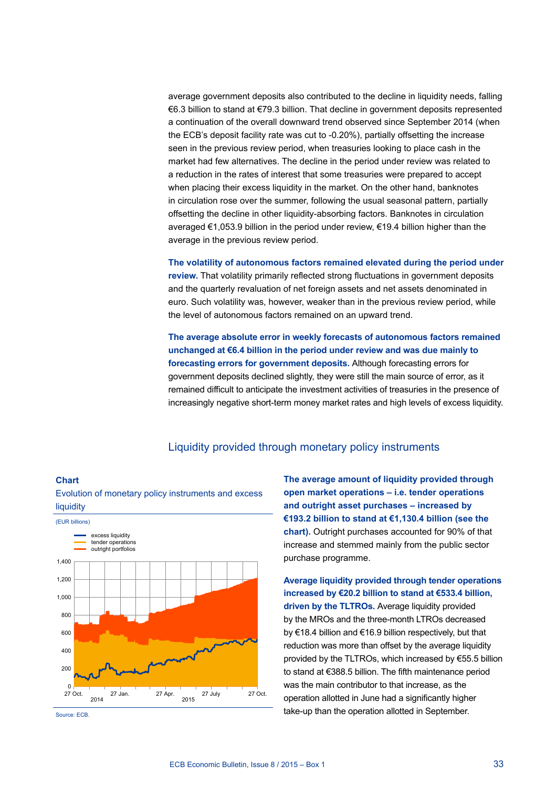average government deposits also contributed to the decline in liquidity needs, falling €6.3 billion to stand at €79.3 billion. That decline in government deposits represented a continuation of the overall downward trend observed since September 2014 (when the ECB's deposit facility rate was cut to -0.20%), partially offsetting the increase seen in the previous review period, when treasuries looking to place cash in the market had few alternatives. The decline in the period under review was related to a reduction in the rates of interest that some treasuries were prepared to accept when placing their excess liquidity in the market. On the other hand, banknotes in circulation rose over the summer, following the usual seasonal pattern, partially offsetting the decline in other liquidity-absorbing factors. Banknotes in circulation averaged €1,053.9 billion in the period under review, €19.4 billion higher than the average in the previous review period.

**The volatility of autonomous factors remained elevated during the period under review.** That volatility primarily reflected strong fluctuations in government deposits and the quarterly revaluation of net foreign assets and net assets denominated in euro. Such volatility was, however, weaker than in the previous review period, while the level of autonomous factors remained on an upward trend.

**The average absolute error in weekly forecasts of autonomous factors remained unchanged at €6.4 billion in the period under review and was due mainly to forecasting errors for government deposits.** Although forecasting errors for government deposits declined slightly, they were still the main source of error, as it remained difficult to anticipate the investment activities of treasuries in the presence of increasingly negative short-term money market rates and high levels of excess liquidity.

# Liquidity provided through monetary policy instruments

## **Chart**



Evolution of monetary policy instruments and excess liquidity

Source: ECB.

**The average amount of liquidity provided through open market operations – i.e. tender operations and outright asset purchases – increased by €193.2 billion to stand at €1,130.4 billion (see the chart).** Outright purchases accounted for 90% of that increase and stemmed mainly from the public sector purchase programme.

**Average liquidity provided through tender operations increased by €20.2 billion to stand at €533.4 billion, driven by the TLTROs.** Average liquidity provided by the MROs and the three-month LTROs decreased by €18.4 billion and €16.9 billion respectively, but that reduction was more than offset by the average liquidity provided by the TLTROs, which increased by €55.5 billion to stand at €388.5 billion. The fifth maintenance period was the main contributor to that increase, as the operation allotted in June had a significantly higher take-up than the operation allotted in September.